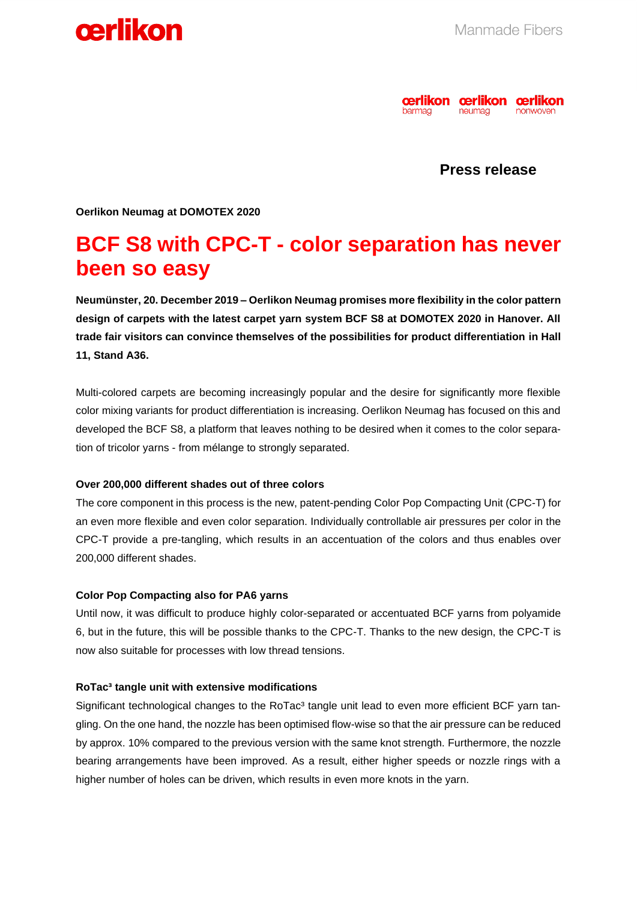



**Press release**

**Oerlikon Neumag at DOMOTEX 2020**

## **BCF S8 with CPC-T - color separation has never been so easy**

**Neumünster, 20. December 2019 – Oerlikon Neumag promises more flexibility in the color pattern design of carpets with the latest carpet yarn system BCF S8 at DOMOTEX 2020 in Hanover. All trade fair visitors can convince themselves of the possibilities for product differentiation in Hall 11, Stand A36.**

Multi-colored carpets are becoming increasingly popular and the desire for significantly more flexible color mixing variants for product differentiation is increasing. Oerlikon Neumag has focused on this and developed the BCF S8, a platform that leaves nothing to be desired when it comes to the color separation of tricolor yarns - from mélange to strongly separated.

#### **Over 200,000 different shades out of three colors**

The core component in this process is the new, patent-pending Color Pop Compacting Unit (CPC-T) for an even more flexible and even color separation. Individually controllable air pressures per color in the CPC-T provide a pre-tangling, which results in an accentuation of the colors and thus enables over 200,000 different shades.

#### **Color Pop Compacting also for PA6 yarns**

Until now, it was difficult to produce highly color-separated or accentuated BCF yarns from polyamide 6, but in the future, this will be possible thanks to the CPC-T. Thanks to the new design, the CPC-T is now also suitable for processes with low thread tensions.

#### **RoTac³ tangle unit with extensive modifications**

Significant technological changes to the RoTac<sup>3</sup> tangle unit lead to even more efficient BCF yarn tangling. On the one hand, the nozzle has been optimised flow-wise so that the air pressure can be reduced by approx. 10% compared to the previous version with the same knot strength. Furthermore, the nozzle bearing arrangements have been improved. As a result, either higher speeds or nozzle rings with a higher number of holes can be driven, which results in even more knots in the yarn.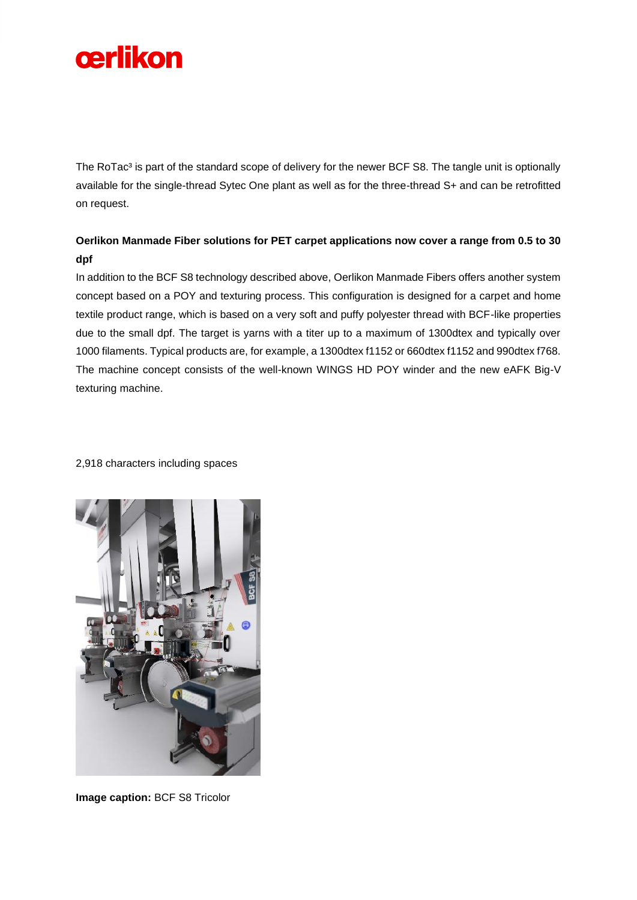

The RoTac<sup>3</sup> is part of the standard scope of delivery for the newer BCF S8. The tangle unit is optionally available for the single-thread Sytec One plant as well as for the three-thread S+ and can be retrofitted on request.

### **Oerlikon Manmade Fiber solutions for PET carpet applications now cover a range from 0.5 to 30 dpf**

In addition to the BCF S8 technology described above, Oerlikon Manmade Fibers offers another system concept based on a POY and texturing process. This configuration is designed for a carpet and home textile product range, which is based on a very soft and puffy polyester thread with BCF-like properties due to the small dpf. The target is yarns with a titer up to a maximum of 1300dtex and typically over 1000 filaments. Typical products are, for example, a 1300dtex f1152 or 660dtex f1152 and 990dtex f768. The machine concept consists of the well-known WINGS HD POY winder and the new eAFK Big-V texturing machine.

#### 2,918 characters including spaces



**Image caption:** BCF S8 Tricolor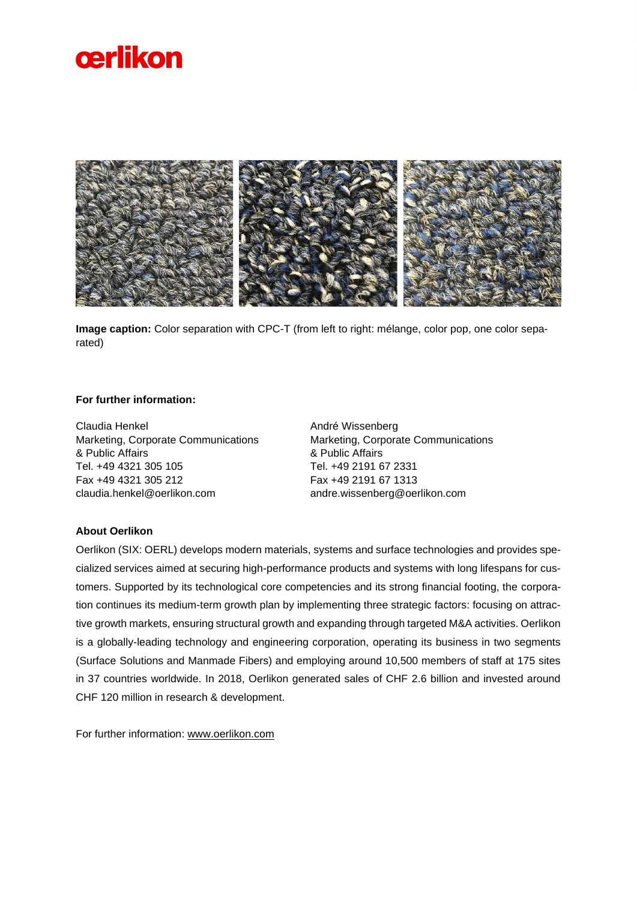



**Image caption:** Color separation with CPC-T (from left to right: mélange, color pop, one color separated)

#### **For further information:**

Claudia Henkel Marketing, Corporate Communications & Public Affairs Tel. +49 4321 305 105 Fax +49 4321 305 212 claudia.henkel@oerlikon.com

André Wissenberg Marketing, Corporate Communications & Public Affairs Tel. +49 2191 67 2331 Fax +49 2191 67 1313 andre.wissenberg@oerlikon.com

#### **About Oerlikon**

Oerlikon (SIX: OERL) develops modern materials, systems and surface technologies and provides specialized services aimed at securing high-performance products and systems with long lifespans for customers. Supported by its technological core competencies and its strong financial footing, the corporation continues its medium-term growth plan by implementing three strategic factors: focusing on attractive growth markets, ensuring structural growth and expanding through targeted M&A activities. Oerlikon is a globally-leading technology and engineering corporation, operating its business in two segments (Surface Solutions and Manmade Fibers) and employing around 10,500 members of staff at 175 sites in 37 countries worldwide. In 2018, Oerlikon generated sales of CHF 2.6 billion and invested around CHF 120 million in research & development.

For further information: [www.oerlikon.com](http://www.oerlikon.com/)